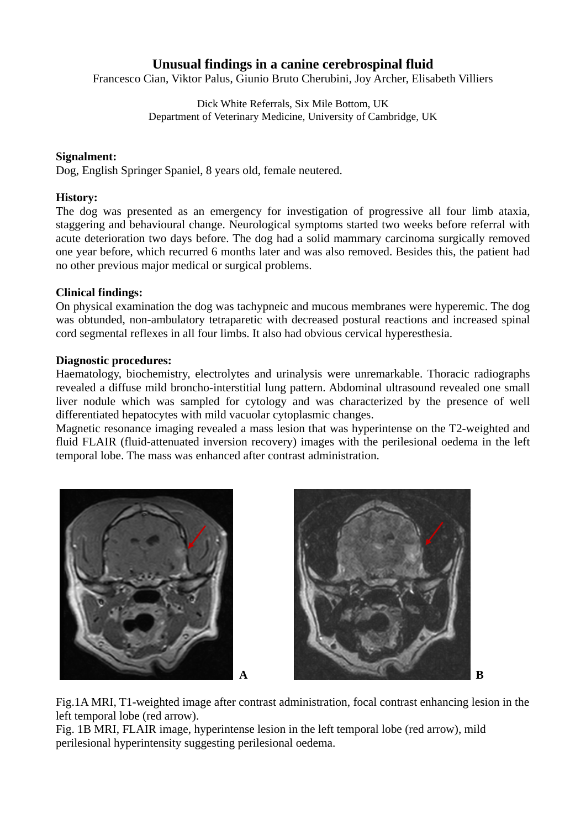# **Unusual findings in a canine cerebrospinal fluid**

Francesco Cian, Viktor Palus, Giunio Bruto Cherubini, Joy Archer, Elisabeth Villiers

Dick White Referrals, Six Mile Bottom, UK Department of Veterinary Medicine, University of Cambridge, UK

#### **Signalment:**

Dog, English Springer Spaniel, 8 years old, female neutered.

#### **History:**

The dog was presented as an emergency for investigation of progressive all four limb ataxia, staggering and behavioural change. Neurological symptoms started two weeks before referral with acute deterioration two days before. The dog had a solid mammary carcinoma surgically removed one year before, which recurred 6 months later and was also removed. Besides this, the patient had no other previous major medical or surgical problems.

#### **Clinical findings:**

On physical examination the dog was tachypneic and mucous membranes were hyperemic. The dog was obtunded, non-ambulatory tetraparetic with decreased postural reactions and increased spinal cord segmental reflexes in all four limbs. It also had obvious cervical hyperesthesia.

### **Diagnostic procedures:**

Haematology, biochemistry, electrolytes and urinalysis were unremarkable. Thoracic radiographs revealed a diffuse mild broncho-interstitial lung pattern. Abdominal ultrasound revealed one small liver nodule which was sampled for cytology and was characterized by the presence of well differentiated hepatocytes with mild vacuolar cytoplasmic changes.

Magnetic resonance imaging revealed a mass lesion that was hyperintense on the T2-weighted and fluid FLAIR (fluid-attenuated inversion recovery) images with the perilesional oedema in the left temporal lobe. The mass was enhanced after contrast administration.





Fig.1A MRI, T1-weighted image after contrast administration, focal contrast enhancing lesion in the left temporal lobe (red arrow).

Fig. 1B MRI, FLAIR image, hyperintense lesion in the left temporal lobe (red arrow), mild perilesional hyperintensity suggesting perilesional oedema.